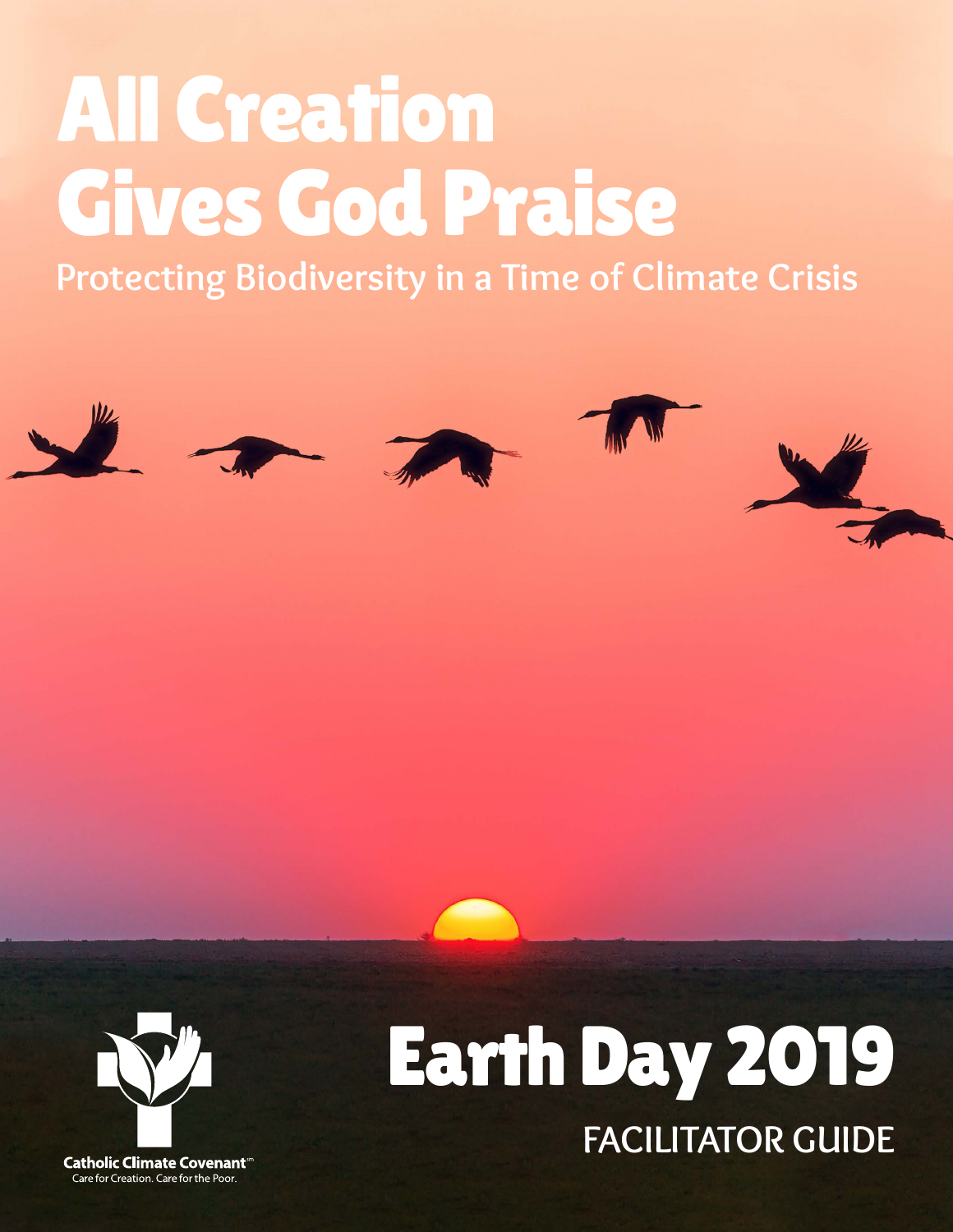# All Creation Gives God Praise

**Protecting Biodiversity in a Time of Climate Crisis**



Earth Day 2019 **FACILITATOR GUIDE**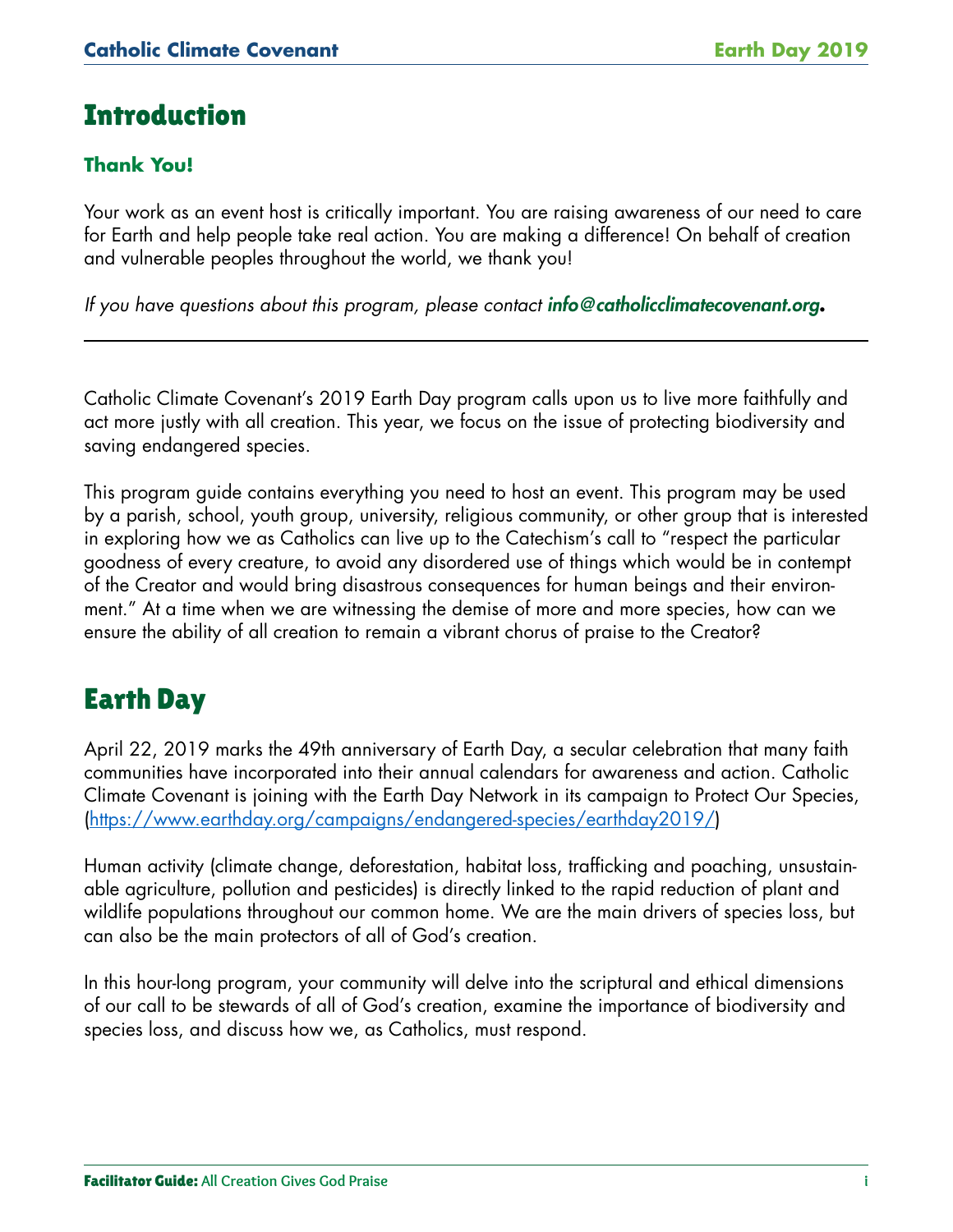# Introduction

#### **Thank You!**

Your work as an event host is critically important. You are raising awareness of our need to care for Earth and help people take real action. You are making a difference! On behalf of creation and vulnerable peoples throughout the world, we thank you!

*If you have questions about this program, please contact info@catholicclimatecovenant.org***.**

Catholic Climate Covenant's 2019 Earth Day program calls upon us to live more faithfully and act more justly with all creation. This year, we focus on the issue of protecting biodiversity and saving endangered species.

This program guide contains everything you need to host an event. This program may be used by a parish, school, youth group, university, religious community, or other group that is interested in exploring how we as Catholics can live up to the Catechism's call to "respect the particular goodness of every creature, to avoid any disordered use of things which would be in contempt of the Creator and would bring disastrous consequences for human beings and their environment." At a time when we are witnessing the demise of more and more species, how can we ensure the ability of all creation to remain a vibrant chorus of praise to the Creator?

# Earth Day

April 22, 2019 marks the 49th anniversary of Earth Day, a secular celebration that many faith communities have incorporated into their annual calendars for awareness and action. Catholic Climate Covenant is joining with the Earth Day Network in its campaign to Protect Our Species, [\(https://www.earthday.org/campaigns/endangered-species/earthday2019/\)](https://www.earthday.org/campaigns/endangered-species/earthday2019/)

Human activity (climate change, deforestation, habitat loss, trafficking and poaching, unsustainable agriculture, pollution and pesticides) is directly linked to the rapid reduction of plant and wildlife populations throughout our common home. We are the main drivers of species loss, but can also be the main protectors of all of God's creation.

In this hour-long program, your community will delve into the scriptural and ethical dimensions of our call to be stewards of all of God's creation, examine the importance of biodiversity and species loss, and discuss how we, as Catholics, must respond.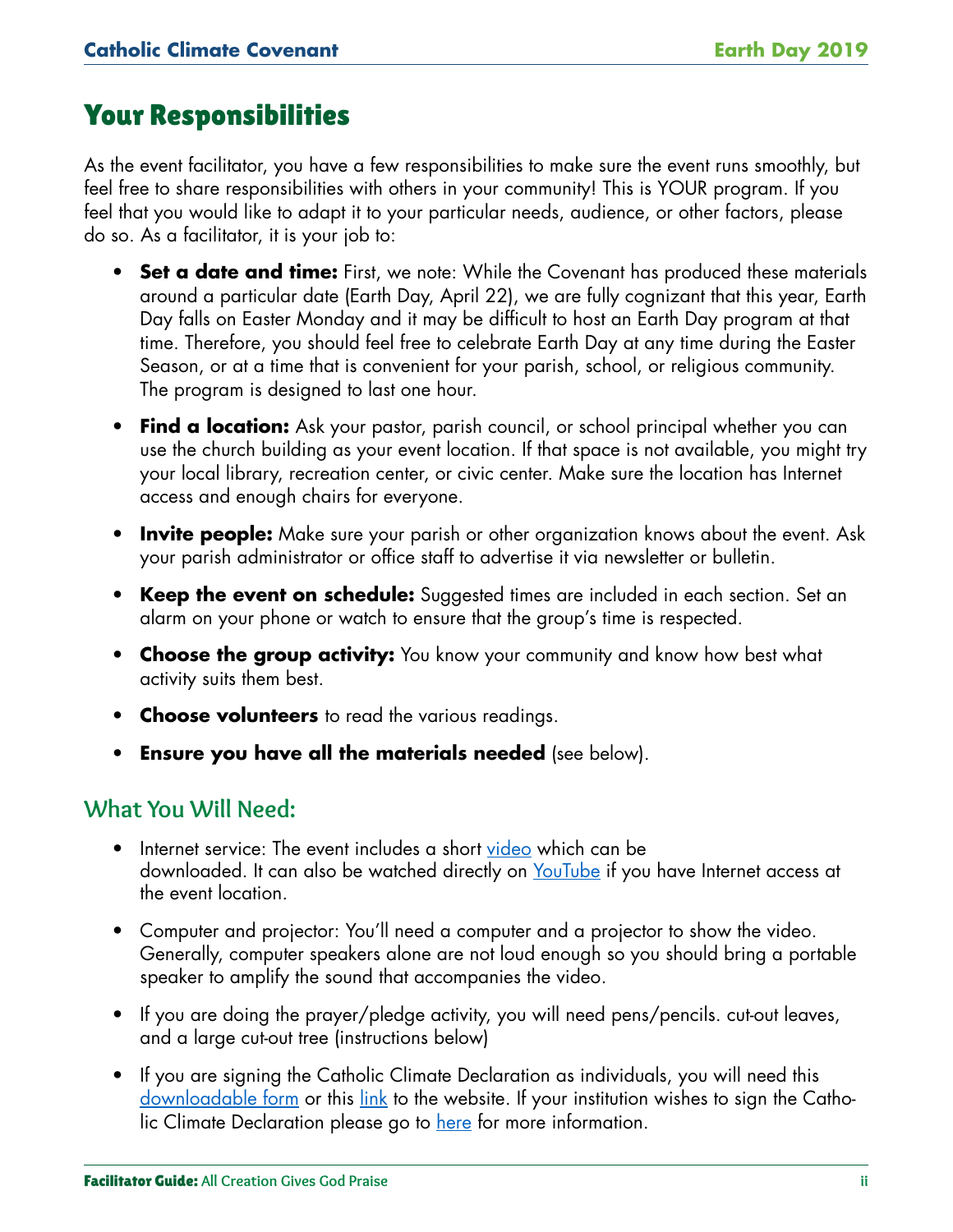# Your Responsibilities

As the event facilitator, you have a few responsibilities to make sure the event runs smoothly, but feel free to share responsibilities with others in your community! This is YOUR program. If you feel that you would like to adapt it to your particular needs, audience, or other factors, please do so. As a facilitator, it is your job to:

- **Set a date and time:** First, we note: While the Covenant has produced these materials around a particular date (Earth Day, April 22), we are fully cognizant that this year, Earth Day falls on Easter Monday and it may be difficult to host an Earth Day program at that time. Therefore, you should feel free to celebrate Earth Day at any time during the Easter Season, or at a time that is convenient for your parish, school, or religious community. The program is designed to last one hour.
- **Find a location:** Ask your pastor, parish council, or school principal whether you can use the church building as your event location. If that space is not available, you might try your local library, recreation center, or civic center. Make sure the location has Internet access and enough chairs for everyone.
- **Invite people:** Make sure your parish or other organization knows about the event. Ask your parish administrator or office staff to advertise it via newsletter or bulletin.
- **Keep the event on schedule:** Suggested times are included in each section. Set an alarm on your phone or watch to ensure that the group's time is respected.
- **Choose the group activity:** You know your community and know how best what activity suits them best.
- **Choose volunteers** to read the various readings.
- **Ensure you have all the materials needed** (see below).

## **What You Will Need:**

- Internet service: The event includes a short [video](https://drive.google.com/file/d/1yv9v_qgfZnZ-V4OhGKHakPSwCu1sMHkH/view) which can be downloaded. It can also be watched directly on <u>YouTube</u> if you have Internet access at the event location.
- Computer and projector: You'll need a computer and a projector to show the video. Generally, computer speakers alone are not loud enough so you should bring a portable speaker to amplify the sound that accompanies the video.
- If you are doing the prayer/pledge activity, you will need pens/pencils. cut-out leaves, and a large cut-out tree (instructions below)
- If you are signing the Catholic Climate Declaration as individuals, you will need this [downloadable form](https://catholicclimatecovenant.org/files/attachment/page/Sign_up_for_CCD.pdf) or this [link](https://catholicclimatecovenant.org/us-catholic-climate-declaration) to the website. If your institution wishes to sign the Catholic Climate Declaration please go to [here](https://catholicclimatecovenant.org/us-catholic-climate-declaration) for more information.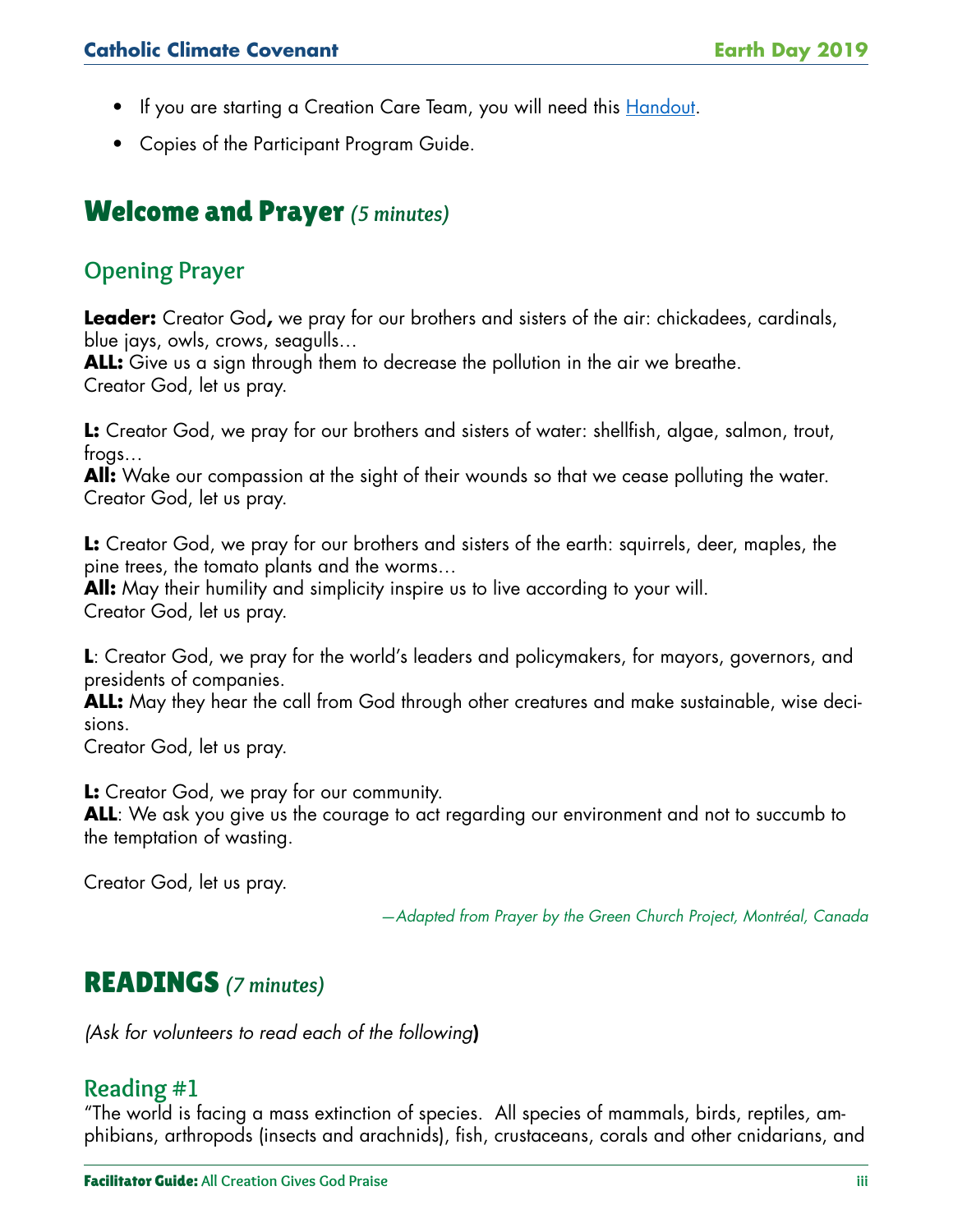- If you are starting a Creation Care Team, you will need this **Handout**.
- Copies of the Participant Program Guide.

## Welcome and Prayer *(5 minutes)*

## **Opening Prayer**

**Leader:** Creator God**,** we pray for our brothers and sisters of the air: chickadees, cardinals, blue jays, owls, crows, seagulls…

**ALL:** Give us a sign through them to decrease the pollution in the air we breathe. Creator God, let us pray.

**L:** Creator God, we pray for our brothers and sisters of water: shellfish, algae, salmon, trout, frogs…

**All:** Wake our compassion at the sight of their wounds so that we cease polluting the water. Creator God, let us pray.

**L:** Creator God, we pray for our brothers and sisters of the earth: squirrels, deer, maples, the pine trees, the tomato plants and the worms…

**All:** May their humility and simplicity inspire us to live according to your will. Creator God, let us pray.

**L**: Creator God, we pray for the world's leaders and policymakers, for mayors, governors, and presidents of companies.

**ALL:** May they hear the call from God through other creatures and make sustainable, wise decisions.

Creator God, let us pray.

**L:** Creator God, we pray for our community.

**ALL**: We ask you give us the courage to act regarding our environment and not to succumb to the temptation of wasting.

Creator God, let us pray.

*—Adapted from Prayer by the Green Church Project, Montréal, Canada*

# READINGS *(7 minutes)*

*(Ask for volunteers to read each of the following***)**

## **Reading #1**

"The world is facing a mass extinction of species. All species of mammals, birds, reptiles*,* amphibians, arthropods (insects and arachnids), fish, crustaceans, corals and other cnidarians, and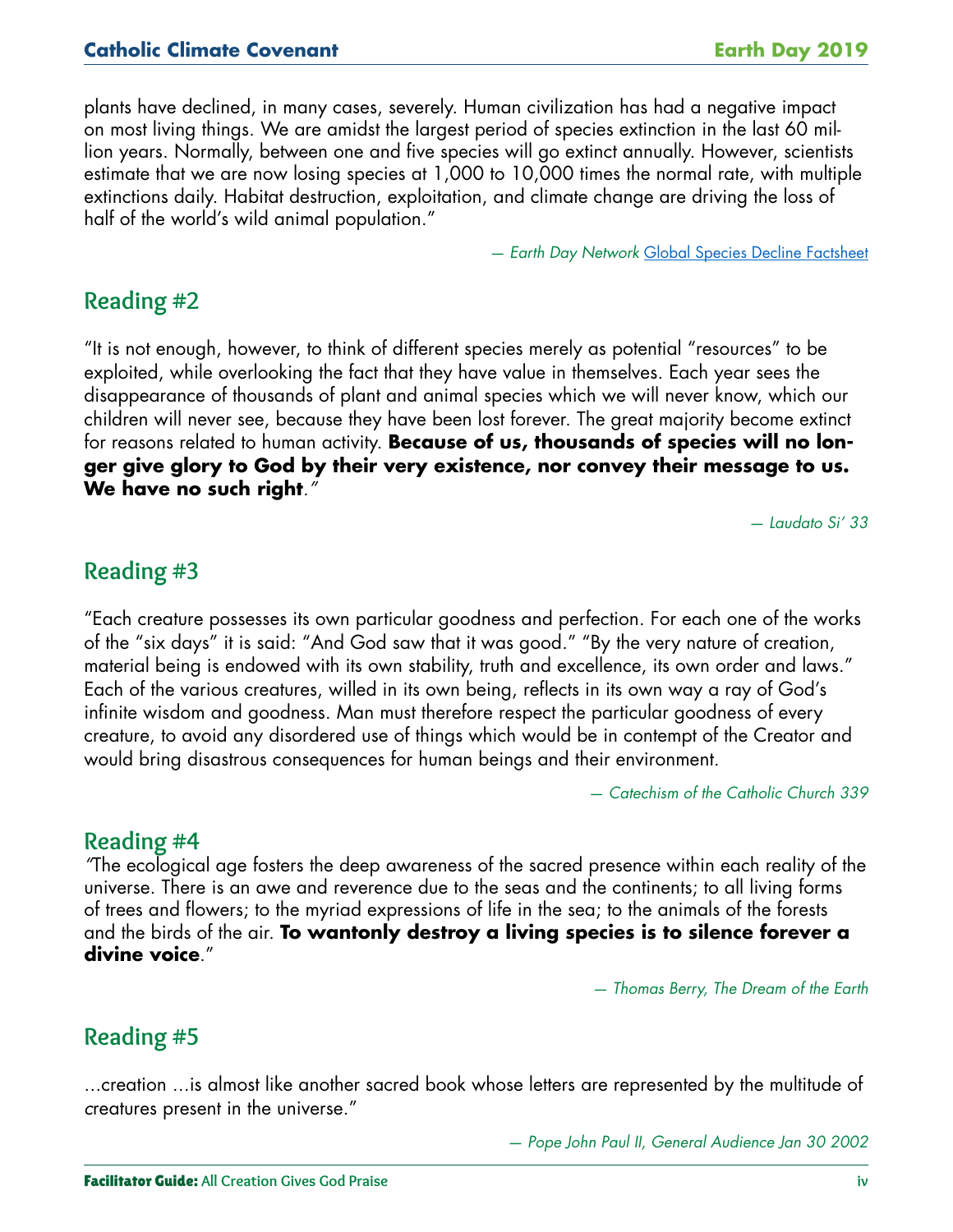#### **Catholic Climate Covenant Earth Day 2019**

plants have declined, in many cases, severely. Human civilization has had a negative impact on most living things. We are amidst the largest period of species extinction in the last 60 million years. Normally, between one and five species will go extinct annually. However, scientists estimate that we are now losing species at 1,000 to 10,000 times the normal rate, with multiple extinctions daily. Habitat destruction, exploitation, and climate change are driving the loss of half of the world's wild animal population."

*— Earth Day Network* [Global Species Decline Factsheet](https://www.earthday.org/2018/05/18/fact-sheet-global-species-decline/)

#### **Reading #2**

"It is not enough, however, to think of different species merely as potential "resources" to be exploited, while overlooking the fact that they have value in themselves. Each year sees the disappearance of thousands of plant and animal species which we will never know, which our children will never see, because they have been lost forever. The great majority become extinct for reasons related to human activity. **Because of us, thousands of species will no longer give glory to God by their very existence, nor convey their message to us. We have no such right***."* 

*— Laudato Si' 33*

#### **Reading #3**

"Each creature possesses its own particular goodness and perfection. For each one of the works of the "six days" it is said: "And God saw that it was good." "By the very nature of creation, material being is endowed with its own stability, truth and excellence, its own order and laws." Each of the various creatures, willed in its own being, reflects in its own way a ray of God's infinite wisdom and goodness. Man must therefore respect the particular goodness of every creature, to avoid any disordered use of things which would be in contempt of the Creator and would bring disastrous consequences for human beings and their environment.

*— Catechism of the Catholic Church 339*

#### **Reading #4**

*"*The ecological age fosters the deep awareness of the sacred presence within each reality of the universe. There is an awe and reverence due to the seas and the continents; to all living forms of trees and flowers; to the myriad expressions of life in the sea; to the animals of the forests and the birds of the air. **To wantonly destroy a living species is to silence forever a divine voice**."

*— Thomas Berry, The Dream of the Earth*

#### **Reading #5**

...creation ...is almost like another sacred book whose letters are represented by the multitude of *c*reatures present in the universe."

*— Pope John Paul II, General Audience Jan 30 2002*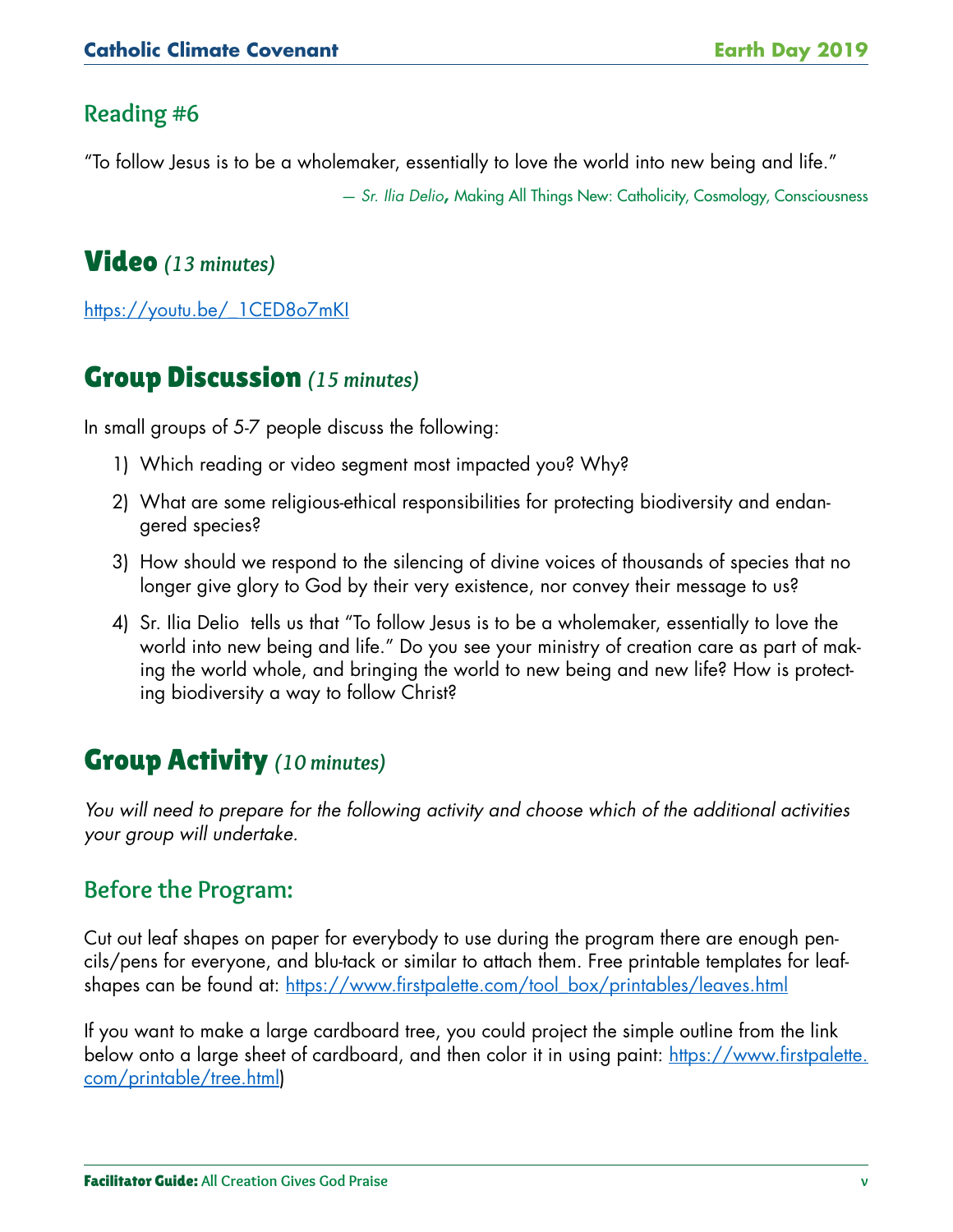## **Reading #6**

"To follow Jesus is to be a wholemaker, essentially to love the world into new being and life."

*— Sr. Ilia Delio***,** Making All Things New: Catholicity, Cosmology, Consciousness

## Video *(13 minutes)*

[https://youtu.be/\\_1CED8o7mKI](https://youtu.be/_1CED8o7mKI)

# Group Discussion *(15 minutes)*

In small groups of 5-7 people discuss the following:

- 1) Which reading or video segment most impacted you? Why?
- 2) What are some religious-ethical responsibilities for protecting biodiversity and endangered species?
- 3) How should we respond to the silencing of divine voices of thousands of species that no longer give glory to God by their very existence, nor convey their message to us?
- 4) Sr. Ilia Delio tells us that "To follow Jesus is to be a wholemaker, essentially to love the world into new being and life." Do you see your ministry of creation care as part of making the world whole, and bringing the world to new being and new life? How is protecting biodiversity a way to follow Christ?

# Group Activity *(10 minutes)*

*You will need to prepare for the following activity and choose which of the additional activities your group will undertake.* 

## **Before the Program:**

Cut out leaf shapes on paper for everybody to use during the program there are enough pencils/pens for everyone, and blu-tack or similar to attach them. Free printable templates for leafshapes can be found at: [https://www.firstpalette.com/tool\\_box/printables/leaves.html](https://www.firstpalette.com/tool_box/printables/leaves.html)

If you want to make a large cardboard tree, you could project the simple outline from the link below onto a large sheet of cardboard, and then color it in using paint: [https://www.firstpalette.](https://www.firstpalette.com/printable/tree.html) [com/printable/tree.html\)](https://www.firstpalette.com/printable/tree.html)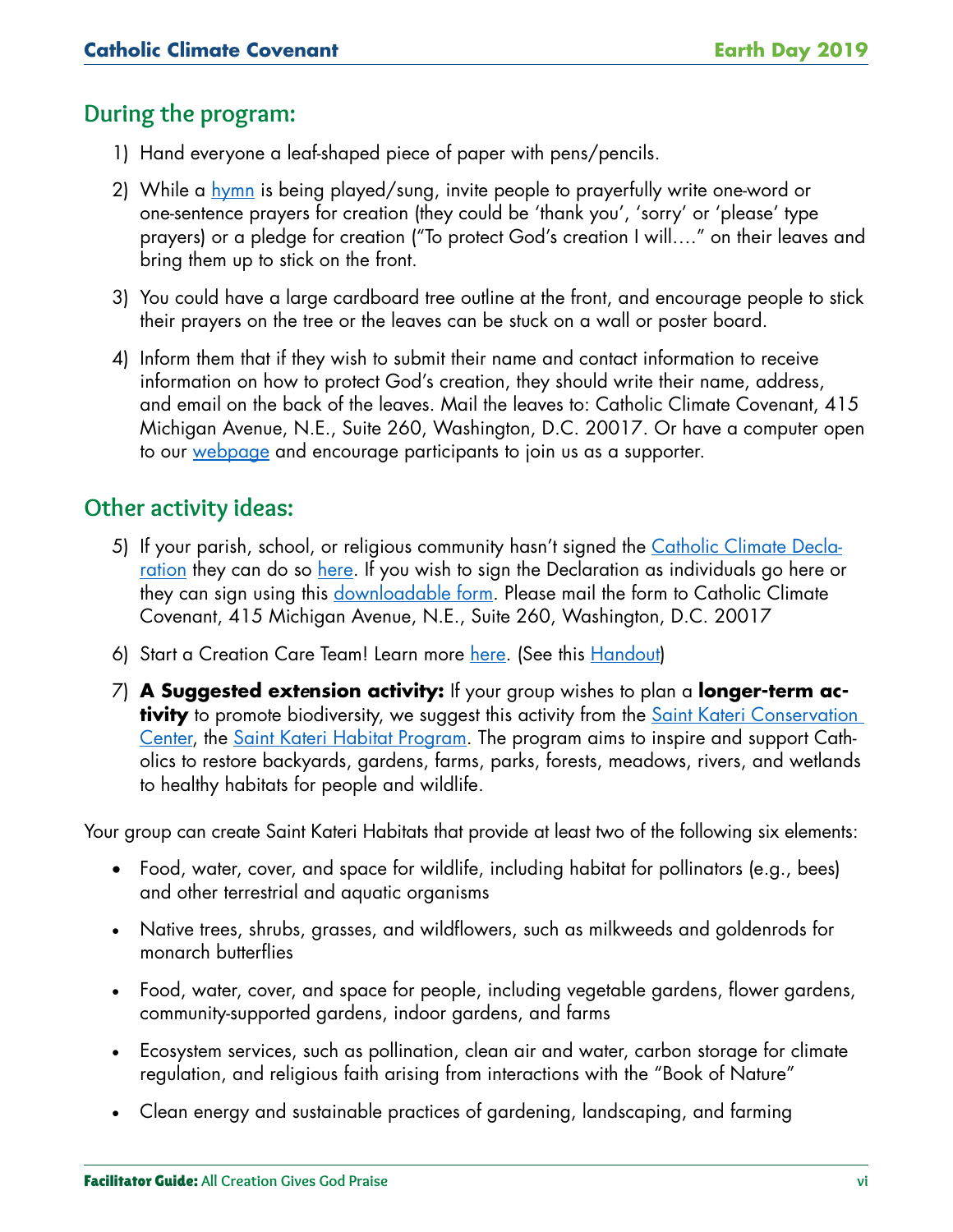## **During the program:**

- 1) Hand everyone a leaf-shaped piece of paper with pens/pencils.
- 2) While a [hymn](https://catholicclimatecovenant.org/resource/hymns-and-mass-settings) is being played/sung, invite people to prayerfully write one-word or one-sentence prayers for creation (they could be 'thank you', 'sorry' or 'please' type prayers) or a pledge for creation ("To protect God's creation I will…." on their leaves and bring them up to stick on the front.
- 3) You could have a large cardboard tree outline at the front, and encourage people to stick their prayers on the tree or the leaves can be stuck on a wall or poster board.
- 4) Inform them that if they wish to submit their name and contact information to receive information on how to protect God's creation, they should write their name, address, and email on the back of the leaves. Mail the leaves to: Catholic Climate Covenant, 415 Michigan Avenue, N.E., Suite 260, Washington, D.C. 20017. Or have a computer open to our [webpage](https://catholicclimatecovenant.org/newsletter) and encourage participants to join us as a supporter.

## **Other activity ideas:**

- 5) If your parish, school, or religious community hasn't signed the [Catholic Climate Decla](https://catholicclimatecovenant.org/us-catholic-climate-declaration)[ration](https://catholicclimatecovenant.org/us-catholic-climate-declaration) they can do so [here.](https://www.tfaforms.com/4668211) If you wish to sign the Declaration as individuals go here or they can sign using this [downloadable form.](https://catholicclimatecovenant.org/files/attachment/page/Sign_up_for_CCD.pdf) Please mail the form to Catholic Climate Covenant, 415 Michigan Avenue, N.E., Suite 260, Washington, D.C. 20017
- 6) Start a Creation Care Team! Learn more [here](https://catholicclimatecovenant.org/program/creation-care-teams). (See this [Handout](https://catholicclimatecovenant.org/files/inline-files/CCTProgramHandout.pdf))
- 7) **A Suggested ext***e***nsion activity:** If your group wishes to plan a **longer-term activity** to promote biodiversity, we suggest this activity from the Saint Kateri Conservation [Center,](http://www.kateri.org/) the [Saint Kateri Habitat Program.](https://www.kateri.org/saint-kateri-habitat-2/) The program aims to inspire and support Catholics to restore backyards, gardens, farms, parks, forests, meadows, rivers, and wetlands to healthy habitats for people and wildlife.

Your group can create Saint Kateri Habitats that provide at least two of the following six elements:

- Food, water, cover, and space for wildlife, including habitat for pollinators (e.g., bees) and other terrestrial and aquatic organisms
- Native trees, shrubs, grasses, and wildflowers, such as milkweeds and goldenrods for monarch butterflies
- Food, water, cover, and space for people, including vegetable gardens, flower gardens, community-supported gardens, indoor gardens, and farms
- Ecosystem services, such as pollination, clean air and water, carbon storage for climate regulation, and religious faith arising from interactions with the "Book of Nature"
- Clean energy and sustainable practices of gardening, landscaping, and farming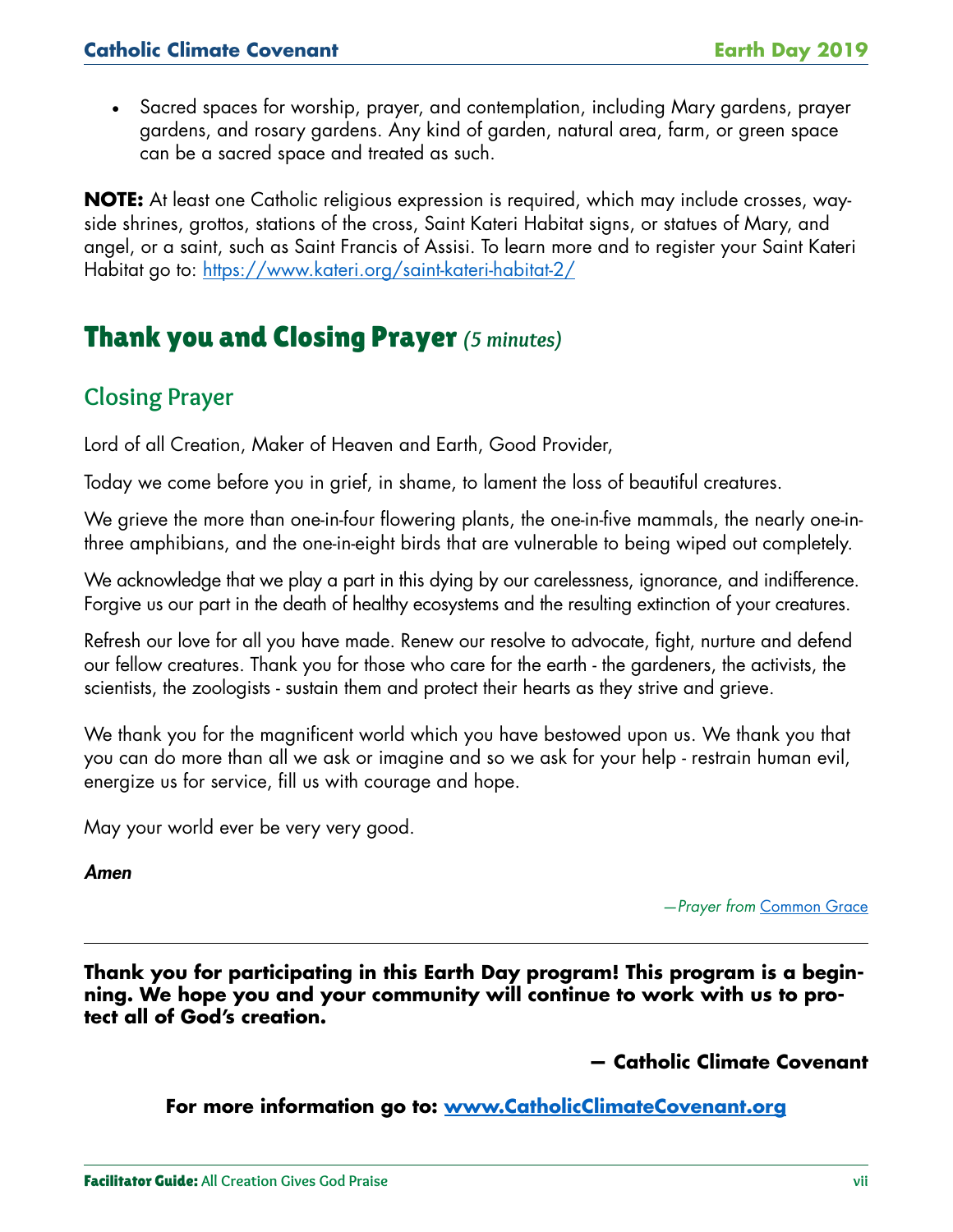• Sacred spaces for worship, prayer, and contemplation, including Mary gardens, prayer gardens, and rosary gardens. Any kind of garden, natural area, farm, or green space can be a sacred space and treated as such.

**NOTE:** At least one Catholic religious expression is required, which may include crosses, wayside shrines, grottos, stations of the cross, Saint Kateri Habitat signs, or statues of Mary, and angel, or a saint, such as Saint Francis of Assisi. To learn more and to register your Saint Kateri Habitat go to:<https://www.kateri.org/saint-kateri-habitat-2/>

## Thank you and Closing Prayer *(5 minutes)*

## **Closing Prayer**

Lord of all Creation, Maker of Heaven and Earth, Good Provider,

Today we come before you in grief, in shame, to lament the loss of beautiful creatures.

We grieve the more than one-in-four flowering plants, the one-in-five mammals, the nearly one-inthree amphibians, and the one-in-eight birds that are vulnerable to being wiped out completely.

We acknowledge that we play a part in this dying by our carelessness, ignorance, and indifference. Forgive us our part in the death of healthy ecosystems and the resulting extinction of your creatures.

Refresh our love for all you have made. Renew our resolve to advocate, fight, nurture and defend our fellow creatures. Thank you for those who care for the earth - the gardeners, the activists, the scientists, the zoologists - sustain them and protect their hearts as they strive and grieve.

We thank you for the magnificent world which you have bestowed upon us. We thank you that you can do more than all we ask or imagine and so we ask for your help - restrain human evil, energize us for service, fill us with courage and hope.

May your world ever be very very good.

*Amen*

*—Prayer from* [Common Grace](https://www.commongrace.org.au/remember)

**Thank you for participating in this Earth Day program! This program is a beginning. We hope you and your community will continue to work with us to protect all of God's creation.** 

**— Catholic Climate Covenant**

#### **For more information go to: [www.CatholicClimateCovenant.org](http://www.CatholicClimateCovenant.org)**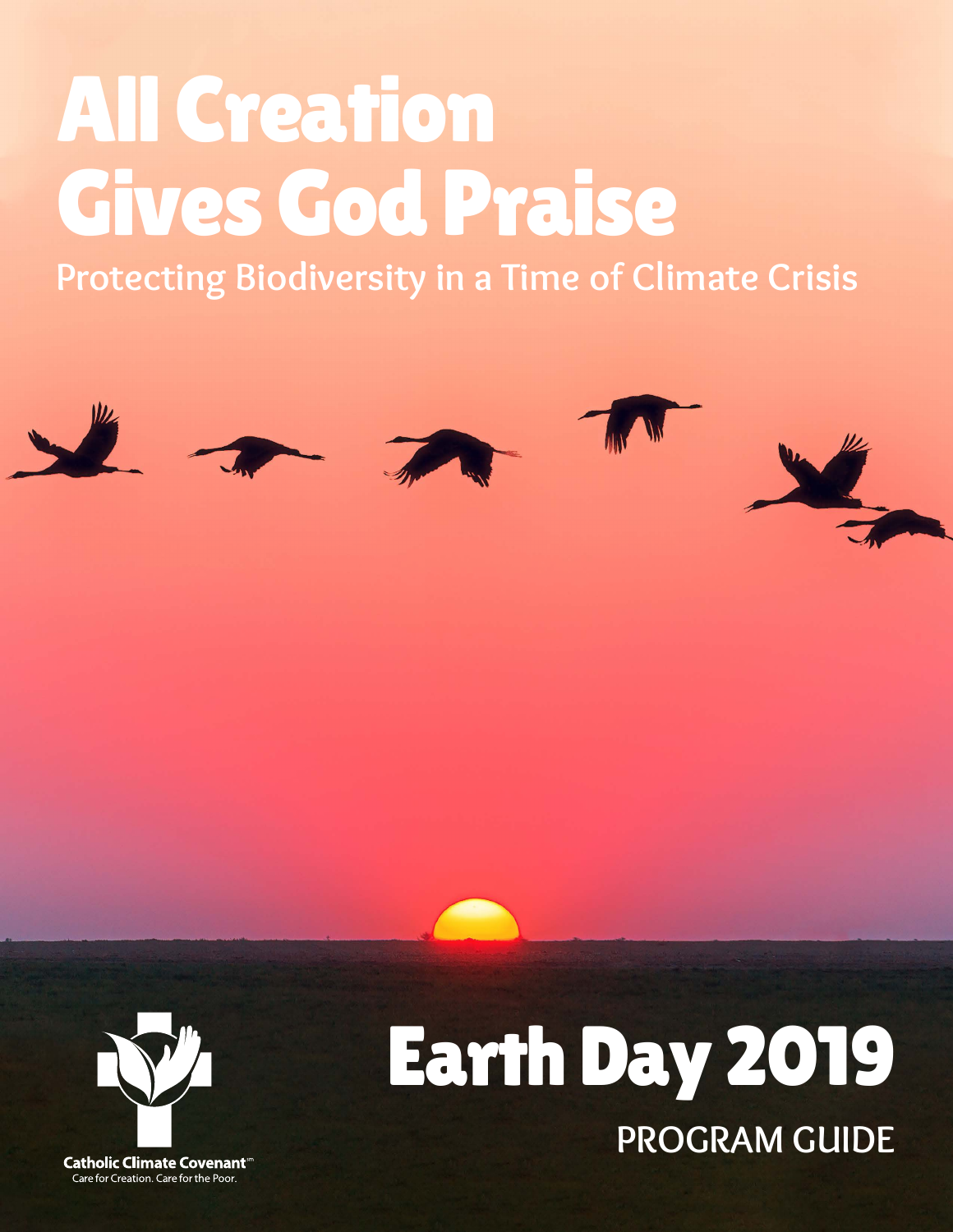# All Creation Gives God Praise

**Protecting Biodiversity in a Time of Climate Crisis**



Earth Day 2019 **PROGRAM GUIDE**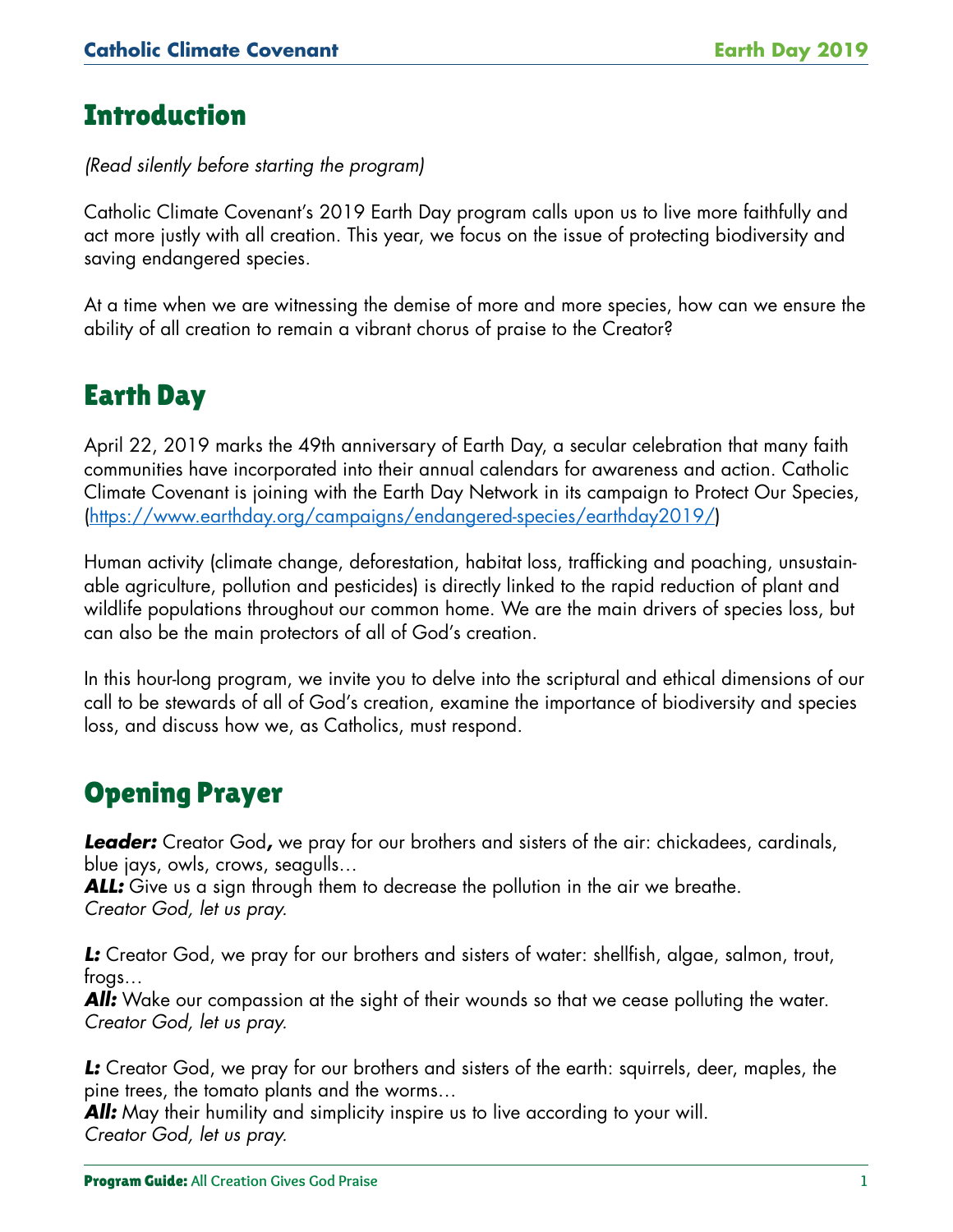## Introduction

*(Read silently before starting the program)*

Catholic Climate Covenant's 2019 Earth Day program calls upon us to live more faithfully and act more justly with all creation. This year, we focus on the issue of protecting biodiversity and saving endangered species.

At a time when we are witnessing the demise of more and more species, how can we ensure the ability of all creation to remain a vibrant chorus of praise to the Creator?

# Earth Day

April 22, 2019 marks the 49th anniversary of Earth Day, a secular celebration that many faith communities have incorporated into their annual calendars for awareness and action. Catholic Climate Covenant is joining with the Earth Day Network in its campaign to Protect Our Species, [\(https://www.earthday.org/campaigns/endangered-species/earthday2019/\)](https://www.earthday.org/campaigns/endangered-species/earthday2019/)

Human activity (climate change, deforestation, habitat loss, trafficking and poaching, unsustainable agriculture, pollution and pesticides) is directly linked to the rapid reduction of plant and wildlife populations throughout our common home. We are the main drivers of species loss, but can also be the main protectors of all of God's creation.

In this hour-long program, we invite you to delve into the scriptural and ethical dimensions of our call to be stewards of all of God's creation, examine the importance of biodiversity and species loss, and discuss how we, as Catholics, must respond.

# Opening Prayer

*Leader:* Creator God**,** we pray for our brothers and sisters of the air: chickadees, cardinals, blue jays, owls, crows, seagulls…

**ALL:** Give us a sign through them to decrease the pollution in the air we breathe. *Creator God, let us pray.*

*L:* Creator God, we pray for our brothers and sisters of water: shellfish, algae, salmon, trout, frogs…

**All:** Wake our compassion at the sight of their wounds so that we cease polluting the water. *Creator God, let us pray.*

*L:* Creator God, we pray for our brothers and sisters of the earth: squirrels, deer, maples, the pine trees, the tomato plants and the worms…

**All:** May their humility and simplicity inspire us to live according to your will. *Creator God, let us pray.*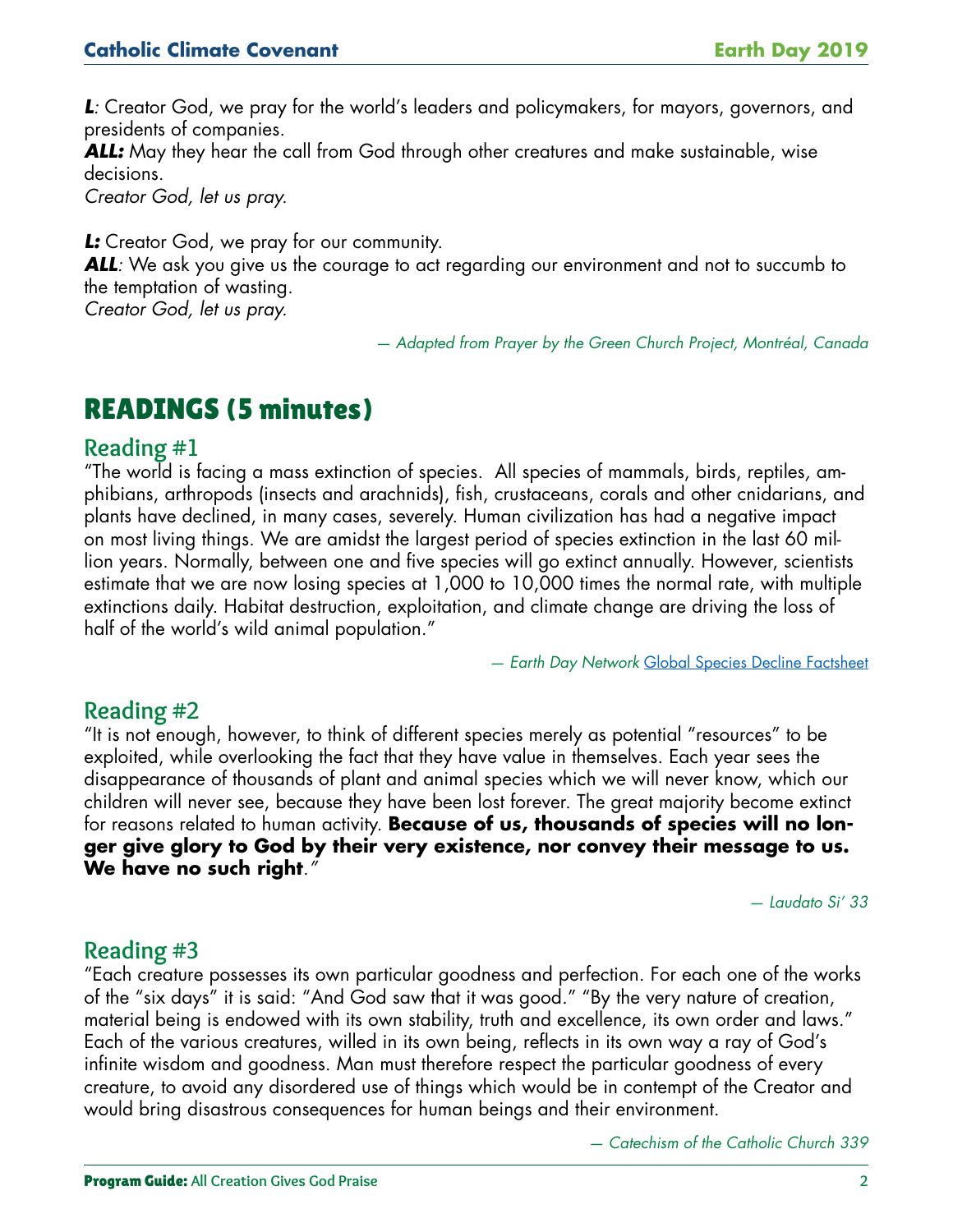**L**: Creator God, we pray for the world's leaders and policymakers, for mayors, governors, and presidents of companies.

**ALL:** May they hear the call from God through other creatures and make sustainable, wise decisions.

*Creator God, let us pray.*

*L:* Creator God, we pray for our community.

**ALL**: We ask you give us the courage to act regarding our environment and not to succumb to the temptation of wasting.

*Creator God, let us pray.*

*— Adapted from Prayer by the Green Church Project, Montréal, Canada*

# READINGS (5 minutes)

#### **Reading #1**

"The world is facing a mass extinction of species. All species of mammals, birds, reptiles*,* amphibians, arthropods (insects and arachnids), fish, crustaceans, corals and other cnidarians, and plants have declined, in many cases, severely. Human civilization has had a negative impact on most living things. We are amidst the largest period of species extinction in the last 60 million years. Normally, between one and five species will go extinct annually. However, scientists estimate that we are now losing species at 1,000 to 10,000 times the normal rate, with multiple extinctions daily. Habitat destruction, exploitation, and climate change are driving the loss of half of the world's wild animal population."

*— Earth Day Network* [Global Species Decline Factsheet](https://www.earthday.org/2018/05/18/fact-sheet-global-species-decline/)

#### **Reading #2**

"It is not enough, however, to think of different species merely as potential "resources" to be exploited, while overlooking the fact that they have value in themselves. Each year sees the disappearance of thousands of plant and animal species which we will never know, which our children will never see, because they have been lost forever. The great majority become extinct for reasons related to human activity. **Because of us, thousands of species will no longer give glory to God by their very existence, nor convey their message to us. We have no such right***."* 

*— Laudato Si' 33*

#### **Reading #3**

"Each creature possesses its own particular goodness and perfection. For each one of the works of the "six days" it is said: "And God saw that it was good." "By the very nature of creation, material being is endowed with its own stability, truth and excellence, its own order and laws." Each of the various creatures, willed in its own being, reflects in its own way a ray of God's infinite wisdom and goodness. Man must therefore respect the particular goodness of every creature, to avoid any disordered use of things which would be in contempt of the Creator and would bring disastrous consequences for human beings and their environment.

*— Catechism of the Catholic Church 339*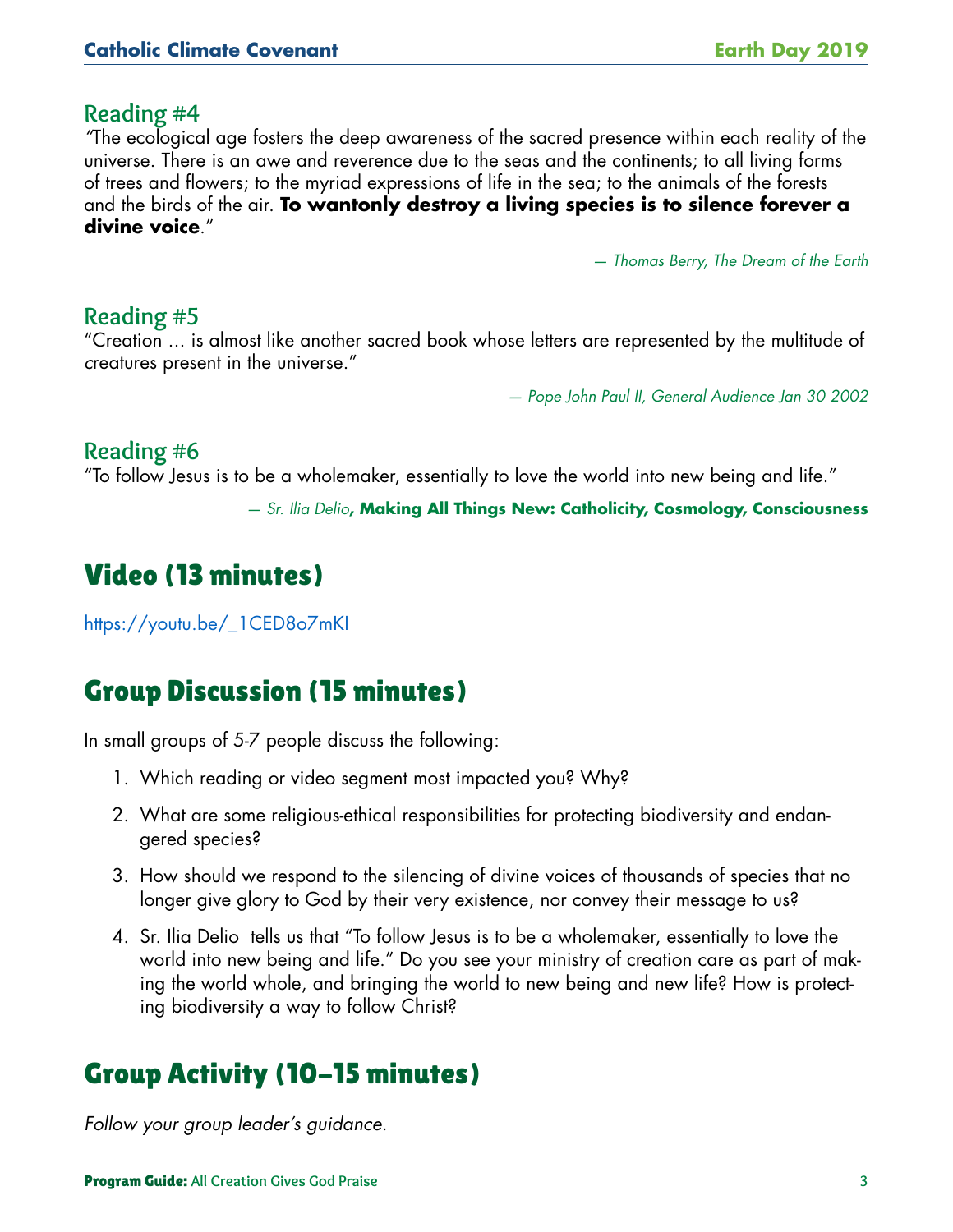### **Reading #4**

*"*The ecological age fosters the deep awareness of the sacred presence within each reality of the universe. There is an awe and reverence due to the seas and the continents; to all living forms of trees and flowers; to the myriad expressions of life in the sea; to the animals of the forests and the birds of the air. **To wantonly destroy a living species is to silence forever a divine voice**."

*— Thomas Berry, The Dream of the Earth*

## **Reading #5**

"Creation ... is almost like another sacred book whose letters are represented by the multitude of *c*reatures present in the universe."

*— Pope John Paul II, General Audience Jan 30 2002* 

## **Reading #6**

"To follow Jesus is to be a wholemaker, essentially to love the world into new being and life."

*— Sr. Ilia Delio***, Making All Things New: Catholicity, Cosmology, Consciousness**

# Video (13 minutes)

[https://youtu.be/\\_1CED8o7mKI](https://youtu.be/_1CED8o7mKI)

# Group Discussion (15 minutes)

In small groups of 5-7 people discuss the following:

- 1. Which reading or video segment most impacted you? Why?
- 2. What are some religious-ethical responsibilities for protecting biodiversity and endangered species?
- 3. How should we respond to the silencing of divine voices of thousands of species that no longer give glory to God by their very existence, nor convey their message to us?
- 4. Sr. Ilia Delio tells us that "To follow Jesus is to be a wholemaker, essentially to love the world into new being and life." Do you see your ministry of creation care as part of making the world whole, and bringing the world to new being and new life? How is protecting biodiversity a way to follow Christ?

# Group Activity (10-15 minutes)

*Follow your group leader's guidance.*